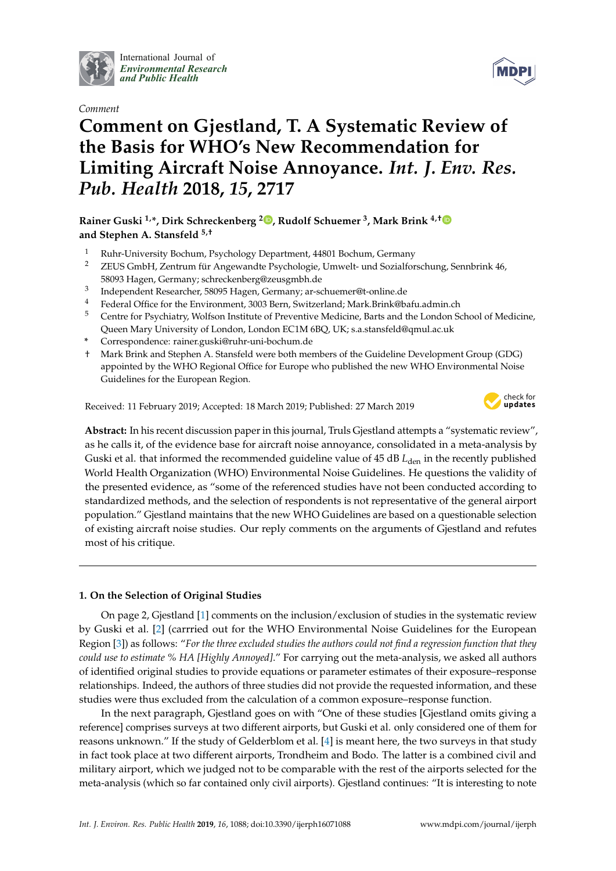

International Journal of *[Environmental Research](http://www.mdpi.com/journal/ijerph) and Public Health*

*Comment*



# **Comment on Gjestland, T. A Systematic Review of the Basis for WHO's New Recommendation for Limiting Aircraft Noise Annoyance.** *Int. J. Env. Res. Pub. Health* **2018,** *15***, 2717**

# **Rainer Guski 1,\*, Dirk Schreckenberg <sup>2</sup> [,](https://orcid.org/0000-0002-6167-5664) Rudolf Schuemer <sup>3</sup> , Mark Brink 4,[†](https://orcid.org/0000-0001-7661-4680) and Stephen A. Stansfeld 5,†**

- <sup>1</sup> Ruhr-University Bochum, Psychology Department, 44801 Bochum, Germany
- <sup>2</sup> ZEUS GmbH, Zentrum für Angewandte Psychologie, Umwelt- und Sozialforschung, Sennbrink 46, 58093 Hagen, Germany; schreckenberg@zeusgmbh.de
- 3 Independent Researcher, 58095 Hagen, Germany; ar-schuemer@t-online.de
- <sup>4</sup> Federal Office for the Environment, 3003 Bern, Switzerland; Mark.Brink@bafu.admin.ch<br> $\frac{5}{2}$  Centre for Brushistma Welform Institute of Brusseties Medicine, Berte and the Lander C
- <sup>5</sup> Centre for Psychiatry, Wolfson Institute of Preventive Medicine, Barts and the London School of Medicine, Queen Mary University of London, London EC1M 6BQ, UK; s.a.stansfeld@qmul.ac.uk
- **\*** Correspondence: rainer.guski@ruhr-uni-bochum.de
- † Mark Brink and Stephen A. Stansfeld were both members of the Guideline Development Group (GDG) appointed by the WHO Regional Office for Europe who published the new WHO Environmental Noise Guidelines for the European Region.

Received: 11 February 2019; Accepted: 18 March 2019; Published: 27 March 2019



**Abstract:** In his recent discussion paper in this journal, Truls Gjestland attempts a "systematic review", as he calls it, of the evidence base for aircraft noise annoyance, consolidated in a meta-analysis by Guski et al. that informed the recommended guideline value of 45 dB *L*<sub>den</sub> in the recently published World Health Organization (WHO) Environmental Noise Guidelines. He questions the validity of the presented evidence, as "some of the referenced studies have not been conducted according to standardized methods, and the selection of respondents is not representative of the general airport population." Gjestland maintains that the new WHO Guidelines are based on a questionable selection of existing aircraft noise studies. Our reply comments on the arguments of Gjestland and refutes most of his critique.

# **1. On the Selection of Original Studies**

On page 2, Gjestland [\[1\]](#page-4-0) comments on the inclusion/exclusion of studies in the systematic review by Guski et al. [\[2\]](#page-4-1) (carrried out for the WHO Environmental Noise Guidelines for the European Region [\[3\]](#page-4-2)) as follows: "*For the three excluded studies the authors could not find a regression function that they could use to estimate % HA [Highly Annoyed]*." For carrying out the meta-analysis, we asked all authors of identified original studies to provide equations or parameter estimates of their exposure–response relationships. Indeed, the authors of three studies did not provide the requested information, and these studies were thus excluded from the calculation of a common exposure–response function.

In the next paragraph, Gjestland goes on with "One of these studies [Gjestland omits giving a reference] comprises surveys at two different airports, but Guski et al. only considered one of them for reasons unknown." If the study of Gelderblom et al. [\[4\]](#page-4-3) is meant here, the two surveys in that study in fact took place at two different airports, Trondheim and Bodo. The latter is a combined civil and military airport, which we judged not to be comparable with the rest of the airports selected for the meta-analysis (which so far contained only civil airports). Gjestland continues: "It is interesting to note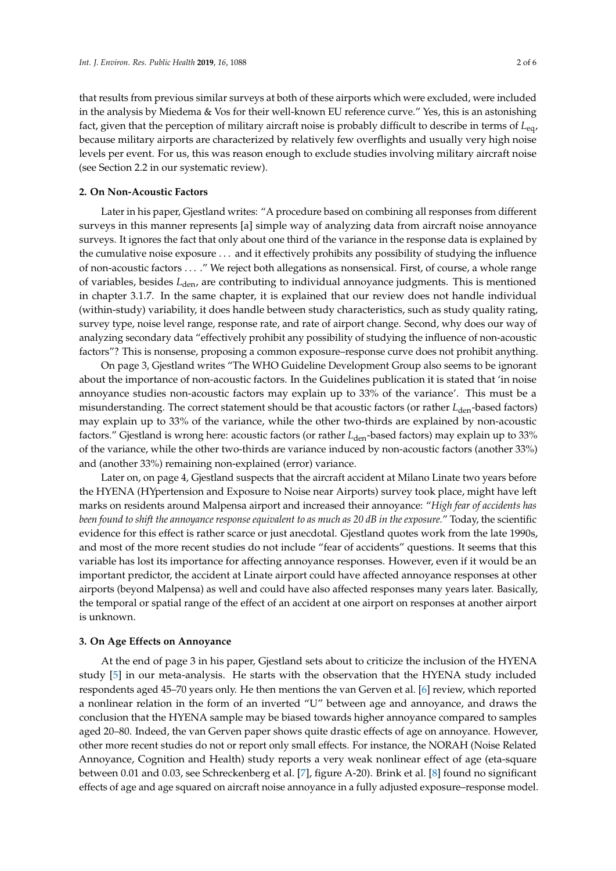that results from previous similar surveys at both of these airports which were excluded, were included in the analysis by Miedema & Vos for their well-known EU reference curve." Yes, this is an astonishing fact, given that the perception of military aircraft noise is probably difficult to describe in terms of *L*eq, because military airports are characterized by relatively few overflights and usually very high noise levels per event. For us, this was reason enough to exclude studies involving military aircraft noise (see Section 2.2 in our systematic review).

## **2. On Non-Acoustic Factors**

Later in his paper, Gjestland writes: "A procedure based on combining all responses from different surveys in this manner represents [a] simple way of analyzing data from aircraft noise annoyance surveys. It ignores the fact that only about one third of the variance in the response data is explained by the cumulative noise exposure . . . and it effectively prohibits any possibility of studying the influence of non-acoustic factors . . . ." We reject both allegations as nonsensical. First, of course, a whole range of variables, besides *L*den, are contributing to individual annoyance judgments. This is mentioned in chapter 3.1.7. In the same chapter, it is explained that our review does not handle individual (within-study) variability, it does handle between study characteristics, such as study quality rating, survey type, noise level range, response rate, and rate of airport change. Second, why does our way of analyzing secondary data "effectively prohibit any possibility of studying the influence of non-acoustic factors"? This is nonsense, proposing a common exposure–response curve does not prohibit anything.

On page 3, Gjestland writes "The WHO Guideline Development Group also seems to be ignorant about the importance of non-acoustic factors. In the Guidelines publication it is stated that 'in noise annoyance studies non-acoustic factors may explain up to 33% of the variance'. This must be a misunderstanding. The correct statement should be that acoustic factors (or rather *L*den-based factors) may explain up to 33% of the variance, while the other two-thirds are explained by non-acoustic factors." Gjestland is wrong here: acoustic factors (or rather *L*<sub>den</sub>-based factors) may explain up to 33% of the variance, while the other two-thirds are variance induced by non-acoustic factors (another 33%) and (another 33%) remaining non-explained (error) variance.

Later on, on page 4, Gjestland suspects that the aircraft accident at Milano Linate two years before the HYENA (HYpertension and Exposure to Noise near Airports) survey took place, might have left marks on residents around Malpensa airport and increased their annoyance: "*High fear of accidents has been found to shift the annoyance response equivalent to as much as 20 dB in the exposure.*" Today, the scientific evidence for this effect is rather scarce or just anecdotal. Gjestland quotes work from the late 1990s, and most of the more recent studies do not include "fear of accidents" questions. It seems that this variable has lost its importance for affecting annoyance responses. However, even if it would be an important predictor, the accident at Linate airport could have affected annoyance responses at other airports (beyond Malpensa) as well and could have also affected responses many years later. Basically, the temporal or spatial range of the effect of an accident at one airport on responses at another airport is unknown.

## **3. On Age Effects on Annoyance**

At the end of page 3 in his paper, Gjestland sets about to criticize the inclusion of the HYENA study [\[5\]](#page-4-4) in our meta-analysis. He starts with the observation that the HYENA study included respondents aged 45–70 years only. He then mentions the van Gerven et al. [\[6\]](#page-5-0) review, which reported a nonlinear relation in the form of an inverted "U" between age and annoyance, and draws the conclusion that the HYENA sample may be biased towards higher annoyance compared to samples aged 20–80. Indeed, the van Gerven paper shows quite drastic effects of age on annoyance. However, other more recent studies do not or report only small effects. For instance, the NORAH (Noise Related Annoyance, Cognition and Health) study reports a very weak nonlinear effect of age (eta-square between 0.01 and 0.03, see Schreckenberg et al. [\[7\]](#page-5-1), figure A-20). Brink et al. [\[8\]](#page-5-2) found no significant effects of age and age squared on aircraft noise annoyance in a fully adjusted exposure–response model.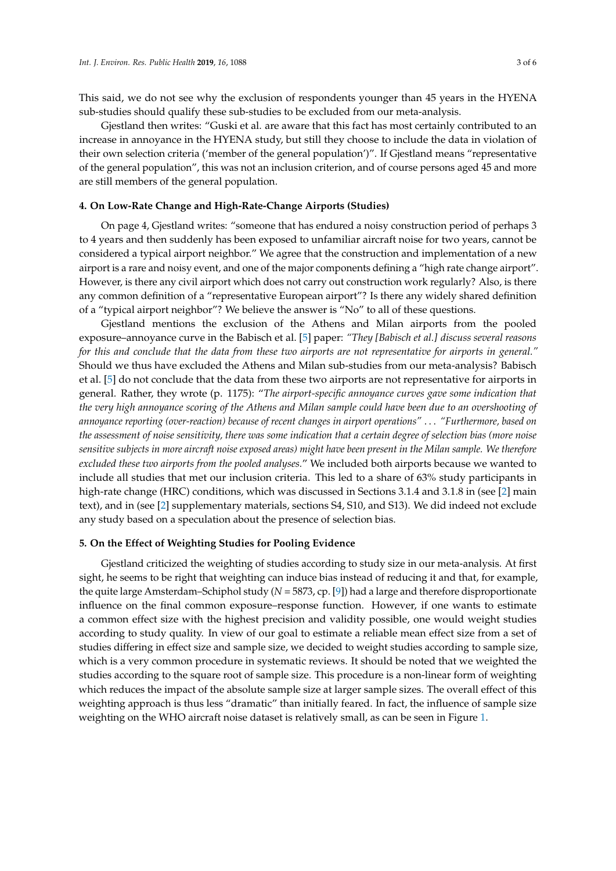This said, we do not see why the exclusion of respondents younger than 45 years in the HYENA sub-studies should qualify these sub-studies to be excluded from our meta-analysis.

Gjestland then writes: "Guski et al. are aware that this fact has most certainly contributed to an increase in annoyance in the HYENA study, but still they choose to include the data in violation of their own selection criteria ('member of the general population')". If Gjestland means "representative of the general population", this was not an inclusion criterion, and of course persons aged 45 and more are still members of the general population.

#### **4. On Low-Rate Change and High-Rate-Change Airports (Studies)**

On page 4, Gjestland writes: "someone that has endured a noisy construction period of perhaps 3 to 4 years and then suddenly has been exposed to unfamiliar aircraft noise for two years, cannot be considered a typical airport neighbor." We agree that the construction and implementation of a new airport is a rare and noisy event, and one of the major components defining a "high rate change airport". However, is there any civil airport which does not carry out construction work regularly? Also, is there any common definition of a "representative European airport"? Is there any widely shared definition of a "typical airport neighbor"? We believe the answer is "No" to all of these questions.

Gjestland mentions the exclusion of the Athens and Milan airports from the pooled exposure–annoyance curve in the Babisch et al. [\[5\]](#page-4-4) paper: *"They [Babisch et al.] discuss several reasons for this and conclude that the data from these two airports are not representative for airports in general."* Should we thus have excluded the Athens and Milan sub-studies from our meta-analysis? Babisch et al. [\[5\]](#page-4-4) do not conclude that the data from these two airports are not representative for airports in general. Rather, they wrote (p. 1175): "*The airport-specific annoyance curves gave some indication that the very high annoyance scoring of the Athens and Milan sample could have been due to an overshooting of annoyance reporting (over-reaction) because of recent changes in airport operations"* . . . *"Furthermore, based on the assessment of noise sensitivity, there was some indication that a certain degree of selection bias (more noise sensitive subjects in more aircraft noise exposed areas) might have been present in the Milan sample. We therefore excluded these two airports from the pooled analyses.*" We included both airports because we wanted to include all studies that met our inclusion criteria. This led to a share of 63% study participants in high-rate change (HRC) conditions, which was discussed in Sections 3.1.4 and 3.1.8 in (see [\[2\]](#page-4-1) main text), and in (see [\[2\]](#page-4-1) supplementary materials, sections S4, S10, and S13). We did indeed not exclude any study based on a speculation about the presence of selection bias.

#### **5. On the Effect of Weighting Studies for Pooling Evidence**

Gjestland criticized the weighting of studies according to study size in our meta-analysis. At first sight, he seems to be right that weighting can induce bias instead of reducing it and that, for example, the quite large Amsterdam–Schiphol study (*N* = 5873, cp. [\[9\]](#page-5-3)) had a large and therefore disproportionate influence on the final common exposure–response function. However, if one wants to estimate a common effect size with the highest precision and validity possible, one would weight studies according to study quality. In view of our goal to estimate a reliable mean effect size from a set of studies differing in effect size and sample size, we decided to weight studies according to sample size, which is a very common procedure in systematic reviews. It should be noted that we weighted the studies according to the square root of sample size. This procedure is a non-linear form of weighting which reduces the impact of the absolute sample size at larger sample sizes. The overall effect of this weighting approach is thus less "dramatic" than initially feared. In fact, the influence of sample size weighting on the WHO aircraft noise dataset is relatively small, as can be seen in Figure [1.](#page-3-0)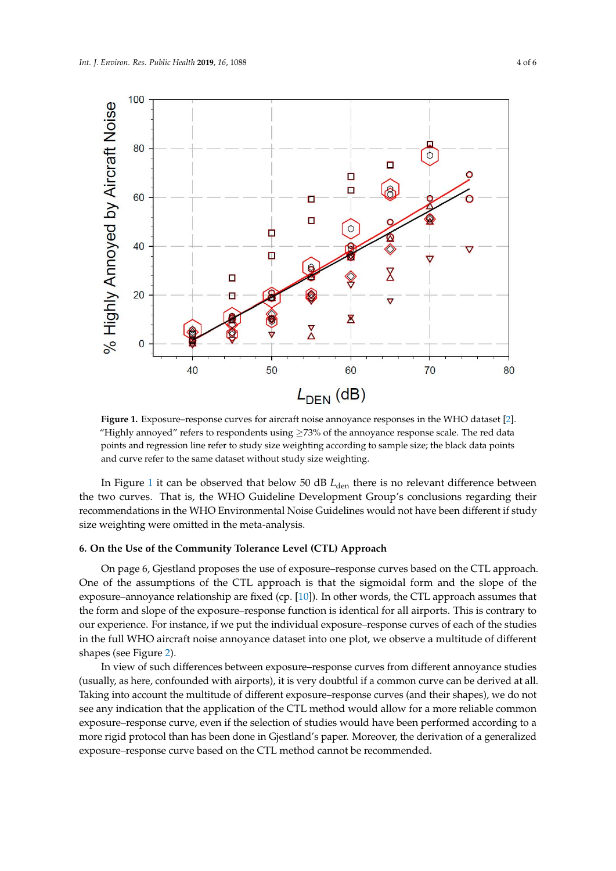<span id="page-3-0"></span>

**Figure 1.** Exposure–response curves for aircraft noise annoyance responses in the WHO dataset [2]. **Figure 1.** Exposure–response curves for aircraft noise annoyance responses in the WHO dataset [\[2\]](#page-4-1). "Highly annoyed" refers to respondents using  $\geq$ 73% of the annoyance response scale. The red data points and regression line refer to study size weighting according to sample size; the black data points points and regression line refer to study size weighting according to sample size; the black data points and curve refer to the same dataset without study size weighting. and curve refer to the same dataset without study size weighting.

In Figure [1](#page-3-0) it can be observed that below 50 dB *L*<sub>den</sub> there is no relevant difference between recommendations in the WHO Environmental Noise Guidelines would not have been different if study size weighting were omitted in the meta-analysis. the two curves. That is, the WHO Guideline Development Group's conclusions regarding their

#### 6. On the Use of the Community Tolerance Level (CTL) Approach

On page 6, Gjestland proposes the use of exposure–response curves based on the CTL approach. One of the assumptions of the CTL approach is that the sigmoidal form and the slope of the exposure–annoyance relationship are fixed (cp. [\[10\]](#page-5-4)). In other words, the CTL approach assumes that the form and slope of the exposure–response function is identical for all airports. This is contrary to our experience. For instance, if we put the individual exposure–response curves of each of the studies in the full WHO aircraft poise appearance dataset into one plot, we observe a multitude of different in the full WHO aircraft noise annoyance dataset into one plot, we observe a multitude of different<br>chance (see Figure 2) shapes (see Figure [2\)](#page-4-5).

In view of such differences between exposure–response curves from different annoyance studies (usually, as here, confounded with airports), it is very doubtful if a common curve can be derived at all. Taking into account the multitude of different exposure–response curves (and their shapes), we do not see any indication that the application of the CTL method would allow for a more reliable common exposure–response curve, even if the selection of studies would have been performed according to a more rigid protocol than has been done in Gjestland's paper. Moreover, the derivation of a generalized exposure–response curve based on the CTL method cannot be recommended.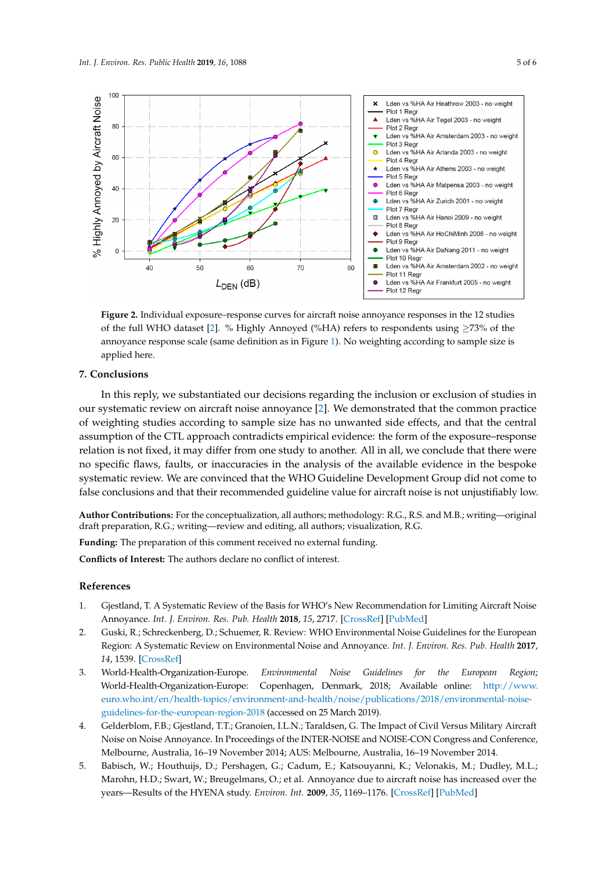<span id="page-4-5"></span>

**Figure 2.** Individual exposure–response curves for aircraft noise annoyance responses in the 12 **Figure 2.** Individual exposure–response curves for aircraft noise annoyance responses in the 12 studies of the full WHO [da](#page-4-1)taset [2]. % Highly Annoyed (%HA) refers to respondents using ≥73% of the annoyance response scale (same definition as in Figure [1\)](#page-3-0). No weighting according to sample size is applied here.

# **7. Conclusions 7. Conclusions**

In this reply, we substantiated our decisions regarding the inclusion or exclusion of studies in In this reply, we substantiated our decisions regarding the inclusion or exclusion of studies in our systematic review on aircraft noise annoyance [\[2\]](#page-4-1). We demonstrated that the common practice of weighting studies according to sample size has no unwanted side effects, and that the central assumption of the CTL approach contradicts empirical evidence: the form of the exposure–response assumption of the CTL approach contradicts empirical evidence: the form of the exposure–response relation is not fixed, it may differ from one study to another. All in all, we conclude that there were no specific flaws, faults, or inaccuracies in the analysis of the available evidence in the bespoke no specific flaws, faults, or inaccuracies in the analysis of the available evidence in the bespoke systematic review. We are convinced that the WHO Guideline Development Group did not come to systematic review. We are convinced that the WHO Guideline Development Group did not come to false conclusions and that their recommended guideline value for aircraft noise is not unjustifiably false conclusions and that their recommended guideline value for aircraft noise is not unjustifiably low.

**Author Contributions:** For the conceptualization, all authors; methodology: R.G., R.S. and M.B.; writing—original<br>duft necessation, R.G. contitions, marious and adition all authors visualization, R.G. draft preparation, R.G.; writing—review and editing, all authors; visualization, R.G.

**Funding:** The preparation of this comment received no external funding.

**Conflicts of Interest:** The authors declare no conflict of interest.

## **Conflicts** of interest. **The authors of interest. The authors declare no conflict of interest.** The authors declare no conflict of interest. The authors declare no conflict of interest. The authors declare no conflict o

- <span id="page-4-0"></span>**References**  1. Gjestland, T. A Systematic Review of the Basis for WHO's New Recommendation for Limiting Aircraft Noise Annoyance. *Int. J. Environ. Res. Pub. Health* **2018**, *15*, 2717. [\[CrossRef\]](http://dx.doi.org/10.3390/ijerph15122717) [\[PubMed\]](http://www.ncbi.nlm.nih.gov/pubmed/30513834)
- <span id="page-4-1"></span>2. Guski, R.; Schreckenberg, D.; Schuemer, R. Review: WHO Environmental Noise Guidelines for the European Region: A Systematic Review on Environmental Noise and Annoyance. Int. J. Environ. Res. Pub. Health 2017, 2. Guski, R.; Schreckenberg, D.; Schuemer, R. Review: WHO Environmental Noise Guidelines for the *14*, 1539. [\[CrossRef\]](http://dx.doi.org/10.3390/ijerph14121539)
- <span id="page-4-2"></span>3. World-Health-Organization-Europe. *Environmental Noise Guidelines for the European Region*; *World-Health-Organization-Europe. Environmental*<br>*World-Health-Organization-Europe: Copenhagen,* 3. World-Health-Organization-Europe. *Environmental Noise Guidelines for the European Region*; World-Healtheuro.who.int/en/health-topics/environment-and-health/noise/publications/2018/environmental-noise-<br>[euro.who.int/en/health-topics/environment-and-health/noise/publications/2018/environmental-noise](http://www.euro.who.int/en/health-topics/environment-and-health/noise/publications/2018/environmental-noise-guidelines-for-the-european-region-2018)Copenhagen, Denmark, 2018; Available online: [http://www.](http://www.euro.who.int/en/health-topics/environment-and-health/noise/publications/2018/environmental-noise-guidelines-for-the-european-region-2018) [guidelines-for-the-european-region-2018](http://www.euro.who.int/en/health-topics/environment-and-health/noise/publications/2018/environmental-noise-guidelines-for-the-european-region-2018) (accessed on 25 March 2019).
- <span id="page-4-3"></span> $h_{\text{m}}$  is the european region. Loss (accessed on Lo material). 4. Gelderblom, F.B.; Gjestland, T.T.; Granoien, I.L.N.; Taraldsen, G. The Impact of Civil Versus Military Aircraft Noise on Noise Annoyance. In Proceedings of the INTER-NOISE and NOISE-CON Congress and Conference, Melbourne, Australia, 16–19 November 2014; AUS: Melbourne, Australia, 16–19 November 2014.
- <span id="page-4-4"></span>5. Babisch, W.; Houthuijs, D.; Pershagen, G.; Cadum, E.; Katsouyanni, K.; Velonakis, M.; Dudley, M.L.; Marohn, H.D.; Swart, W.; Breugelmans, O.; et al. Annoyance due to aircraft noise has increased over the years—Results of the HYENA study. *Environ. Int.* **2009**, *35*, 1169–1176. [\[CrossRef\]](http://dx.doi.org/10.1016/j.envint.2009.07.012) [\[PubMed\]](http://www.ncbi.nlm.nih.gov/pubmed/19699524)